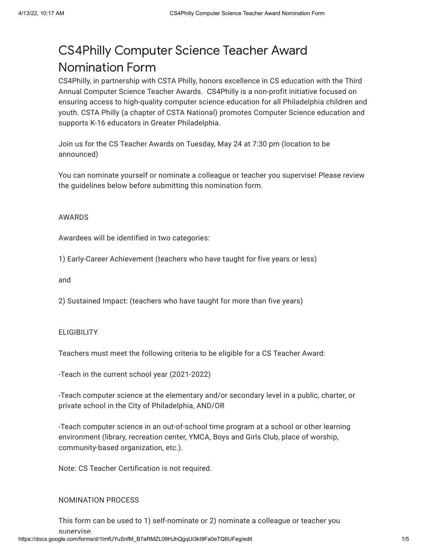# CS4Philly Computer Science Teacher Award Nomination Form

CS4Philly, in partnership with CSTA Philly, honors excellence in CS education with the Third Annual Computer Science Teacher Awards. CS4Philly is a non-profit initiative focused on ensuring access to high-quality computer science education for all Philadelphia children and youth. CSTA Philly (a chapter of CSTA National) promotes Computer Science education and supports K-16 educators in Greater Philadelphia.

Join us for the CS Teacher Awards on Tuesday, May 24 at 7:30 pm (location to be announced)

You can nominate yourself or nominate a colleague or teacher you supervise! Please review the guidelines below before submitting this nomination form.

#### AWARDS

Awardees will be identified in two categories:

1) Early-Career Achievement (teachers who have taught for five years or less)

and

2) Sustained Impact: (teachers who have taught for more than five years)

#### **ELIGIBILITY**

Teachers must meet the following criteria to be eligible for a CS Teacher Award:

-Teach in the current school year (2021-2022)

-Teach computer science at the elementary and/or secondary level in a public, charter, or private school in the City of Philadelphia, AND/OR

-Teach computer science in an out-of-school time program at a school or other learning environment (library, recreation center, YMCA, Boys and Girls Club, place of worship, community-based organization, etc.).

Note: CS Teacher Certification is not required.

#### NOMINATION PROCESS

https://docs.google.com/forms/d/1lmfUYuSnfM\_B7aRMZL09HJhQqqUi3kI9Fa0eTQ6UFeq/edit 1/5 This form can be used to 1) self-nominate or 2) nominate a colleague or teacher you supervise.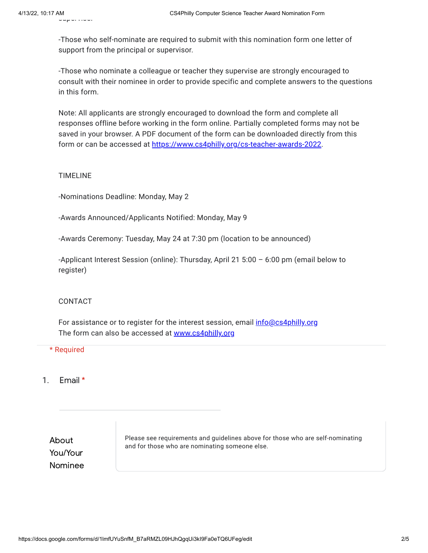-Those who self-nominate are required to submit with this nomination form one letter of support from the principal or supervisor.

-Those who nominate a colleague or teacher they supervise are strongly encouraged to consult with their nominee in order to provide specific and complete answers to the questions in this form.

Note: All applicants are strongly encouraged to download the form and complete all responses offline before working in the form online. Partially completed forms may not be saved in your browser. A PDF document of the form can be downloaded directly from this form or can be accessed at [https://www.cs4philly.org/cs-teacher-awards-2022.](https://www.google.com/url?q=https://www.cs4philly.org/cs-teacher-awards-2022&sa=D&source=editors&ust=1649863042798168&usg=AOvVaw1Ujxm9cBrNs17uF2ZnGXbb)

## TIMELINE

-Nominations Deadline: Monday, May 2

-Awards Announced/Applicants Notified: Monday, May 9

-Awards Ceremony: Tuesday, May 24 at 7:30 pm (location to be announced)

-Applicant Interest Session (online): Thursday, April 21 5:00 – 6:00 pm (email below to register)

# CONTACT

For assistance or to register for the interest session, email *[info@cs4philly.org](mailto:info@cs4philly.org)* The form can also be accessed at [www.cs4philly.org](https://www.google.com/url?q=http://www.cs4philly.org&sa=D&source=editors&ust=1649863042798284&usg=AOvVaw2FSgFe5C-inlkuwvo54t5n)

## \* Required

# 1. Email \*

About You/Your Nominee Please see requirements and guidelines above for those who are self-nominating and for those who are nominating someone else.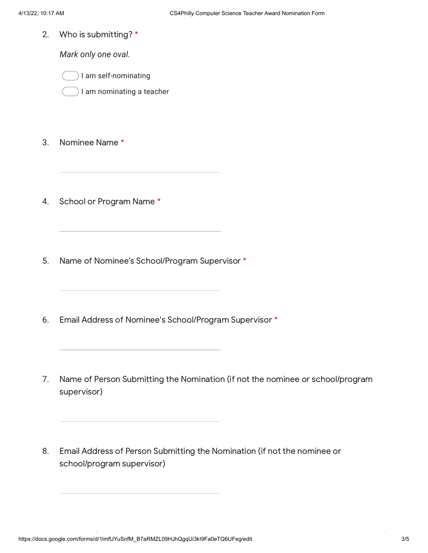2. Who is submitting? \*

*Mark only one oval.*



) I am nominating a teacher

- 3. Nominee Name \*
- 4. School or Program Name \*
- 5. Name of Nominee's School/Program Supervisor \*
- 6. Email Address of Nominee's School/Program Supervisor \*
- 7. Name of Person Submitting the Nomination (if not the nominee or school/program supervisor)
- 8. Email Address of Person Submitting the Nomination (if not the nominee or school/program supervisor)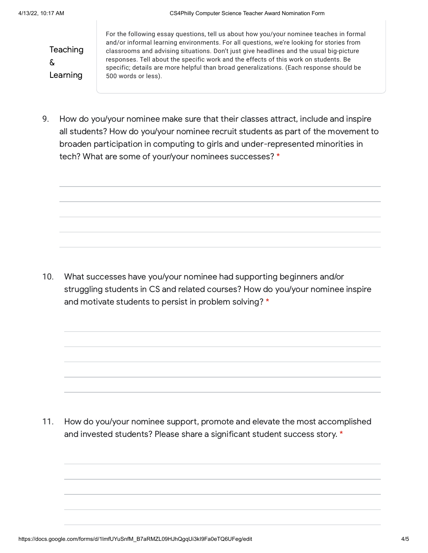**Teaching** & Learning

For the following essay questions, tell us about how you/your nominee teaches in formal and/or informal learning environments. For all questions, we're looking for stories from classrooms and advising situations. Don't just give headlines and the usual big-picture responses. Tell about the specific work and the effects of this work on students. Be specific; details are more helpful than broad generalizations. (Each response should be 500 words or less).

9. How do you/your nominee make sure that their classes attract, include and inspire all students? How do you/your nominee recruit students as part of the movement to broaden participation in computing to girls and under-represented minorities in tech? What are some of your/your nominees successes? \*

10. What successes have you/your nominee had supporting beginners and/or struggling students in CS and related courses? How do you/your nominee inspire and motivate students to persist in problem solving? \*

11. How do you/your nominee support, promote and elevate the most accomplished and invested students? Please share a significant student success story. \*